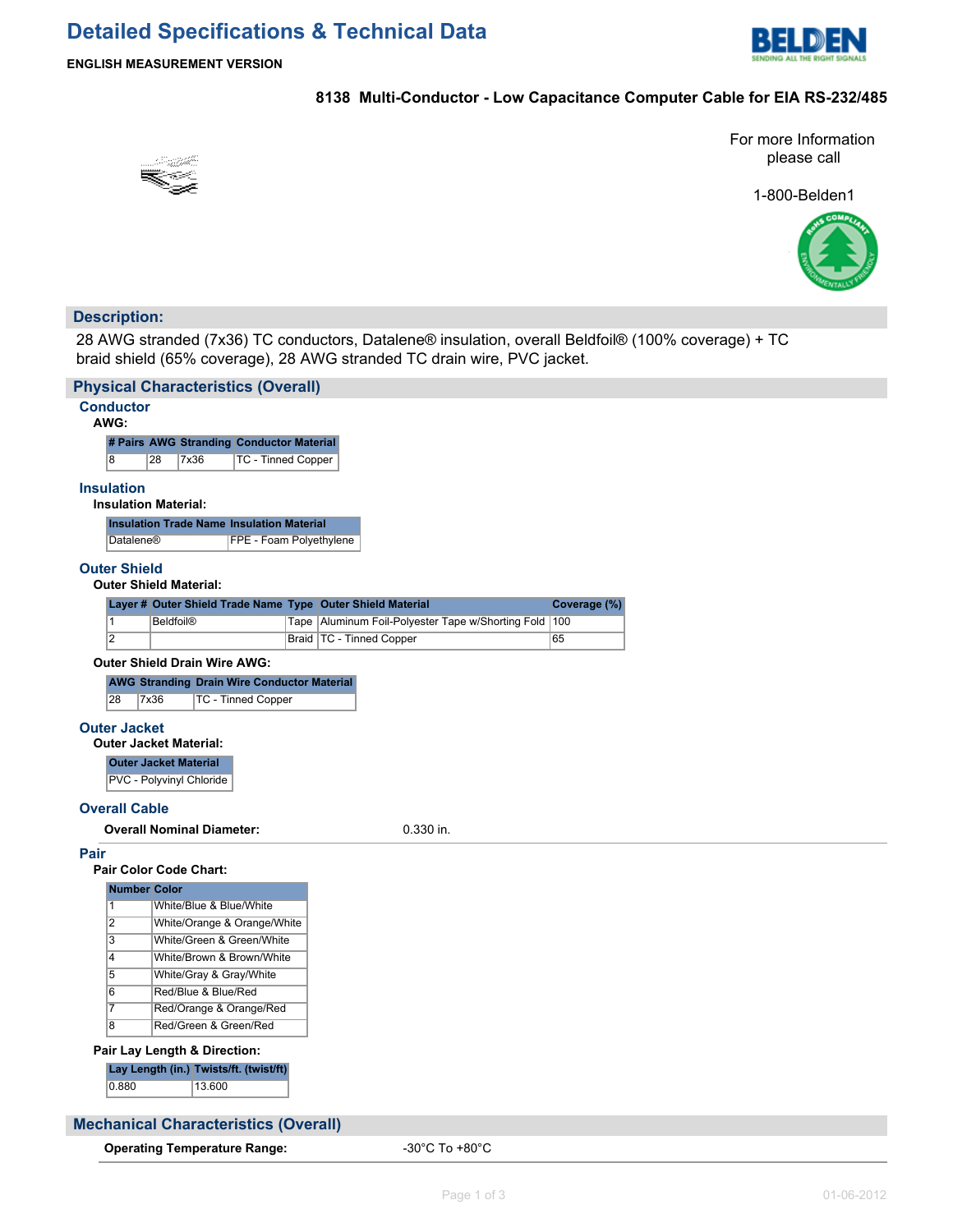

# **ENGLISH MEASUREMENT VERSION**

## **8138 Multi-Conductor - Low Capacitance Computer Cable for EIA RS-232/485**

For more Information please call



1-800-Belden1



# **Description:**

28 AWG stranded (7x36) TC conductors, Datalene® insulation, overall Beldfoil® (100% coverage) + TC braid shield (65% coverage), 28 AWG stranded TC drain wire, PVC jacket.

| <b>Physical Characteristics (Overall)</b>                  |                                                           |  |  |  |  |  |  |
|------------------------------------------------------------|-----------------------------------------------------------|--|--|--|--|--|--|
| <b>Conductor</b><br>AWG:                                   |                                                           |  |  |  |  |  |  |
| # Pairs AWG Stranding Conductor Material                   |                                                           |  |  |  |  |  |  |
| 8<br>28<br>7x36<br>TC - Tinned Copper                      |                                                           |  |  |  |  |  |  |
| <b>Insulation</b><br><b>Insulation Material:</b>           |                                                           |  |  |  |  |  |  |
| <b>Insulation Trade Name Insulation Material</b>           |                                                           |  |  |  |  |  |  |
| FPE - Foam Polyethylene<br>Datalene®                       |                                                           |  |  |  |  |  |  |
| <b>Outer Shield</b><br><b>Outer Shield Material:</b>       |                                                           |  |  |  |  |  |  |
| Layer # Outer Shield Trade Name Type Outer Shield Material | Coverage (%)                                              |  |  |  |  |  |  |
| $\overline{1}$<br><b>Beldfoil®</b>                         | Tape Aluminum Foil-Polyester Tape w/Shorting Fold<br> 100 |  |  |  |  |  |  |
| $\overline{2}$                                             | Braid   TC - Tinned Copper<br>65                          |  |  |  |  |  |  |
| <b>Outer Shield Drain Wire AWG:</b>                        |                                                           |  |  |  |  |  |  |
| <b>AWG Stranding Drain Wire Conductor Material</b>         |                                                           |  |  |  |  |  |  |
| 28<br>7x36<br>TC - Tinned Copper                           |                                                           |  |  |  |  |  |  |
| <b>Outer Jacket</b>                                        |                                                           |  |  |  |  |  |  |
| <b>Outer Jacket Material:</b>                              |                                                           |  |  |  |  |  |  |
| <b>Outer Jacket Material</b>                               |                                                           |  |  |  |  |  |  |
| PVC - Polyvinyl Chloride                                   |                                                           |  |  |  |  |  |  |
|                                                            |                                                           |  |  |  |  |  |  |
| <b>Overall Cable</b>                                       |                                                           |  |  |  |  |  |  |
| <b>Overall Nominal Diameter:</b>                           | 0.330 in.                                                 |  |  |  |  |  |  |
| Pair                                                       |                                                           |  |  |  |  |  |  |
| <b>Pair Color Code Chart:</b>                              |                                                           |  |  |  |  |  |  |
| <b>Number Color</b>                                        |                                                           |  |  |  |  |  |  |
| $\mathbf{1}$<br>White/Blue & Blue/White                    |                                                           |  |  |  |  |  |  |
| $\overline{2}$<br>White/Orange & Orange/White              |                                                           |  |  |  |  |  |  |
| $\overline{3}$<br>White/Green & Green/White                |                                                           |  |  |  |  |  |  |
| $\overline{4}$<br>White/Brown & Brown/White                |                                                           |  |  |  |  |  |  |
| $\overline{5}$<br>White/Gray & Gray/White                  |                                                           |  |  |  |  |  |  |
| $\overline{6}$<br>Red/Blue & Blue/Red                      |                                                           |  |  |  |  |  |  |
| $\overline{7}$<br>Red/Orange & Orange/Red                  |                                                           |  |  |  |  |  |  |
| $\overline{8}$<br>Red/Green & Green/Red                    |                                                           |  |  |  |  |  |  |
| Pair Lay Length & Direction:                               |                                                           |  |  |  |  |  |  |
| Lay Length (in.) Twists/ft. (twist/ft)                     |                                                           |  |  |  |  |  |  |
| 0.880<br>13.600                                            |                                                           |  |  |  |  |  |  |
|                                                            |                                                           |  |  |  |  |  |  |
| <b>Mechanical Characteristics (Overall)</b>                |                                                           |  |  |  |  |  |  |

**Operating Temperature Range:**  $-30^{\circ}$ C To +80 $^{\circ}$ C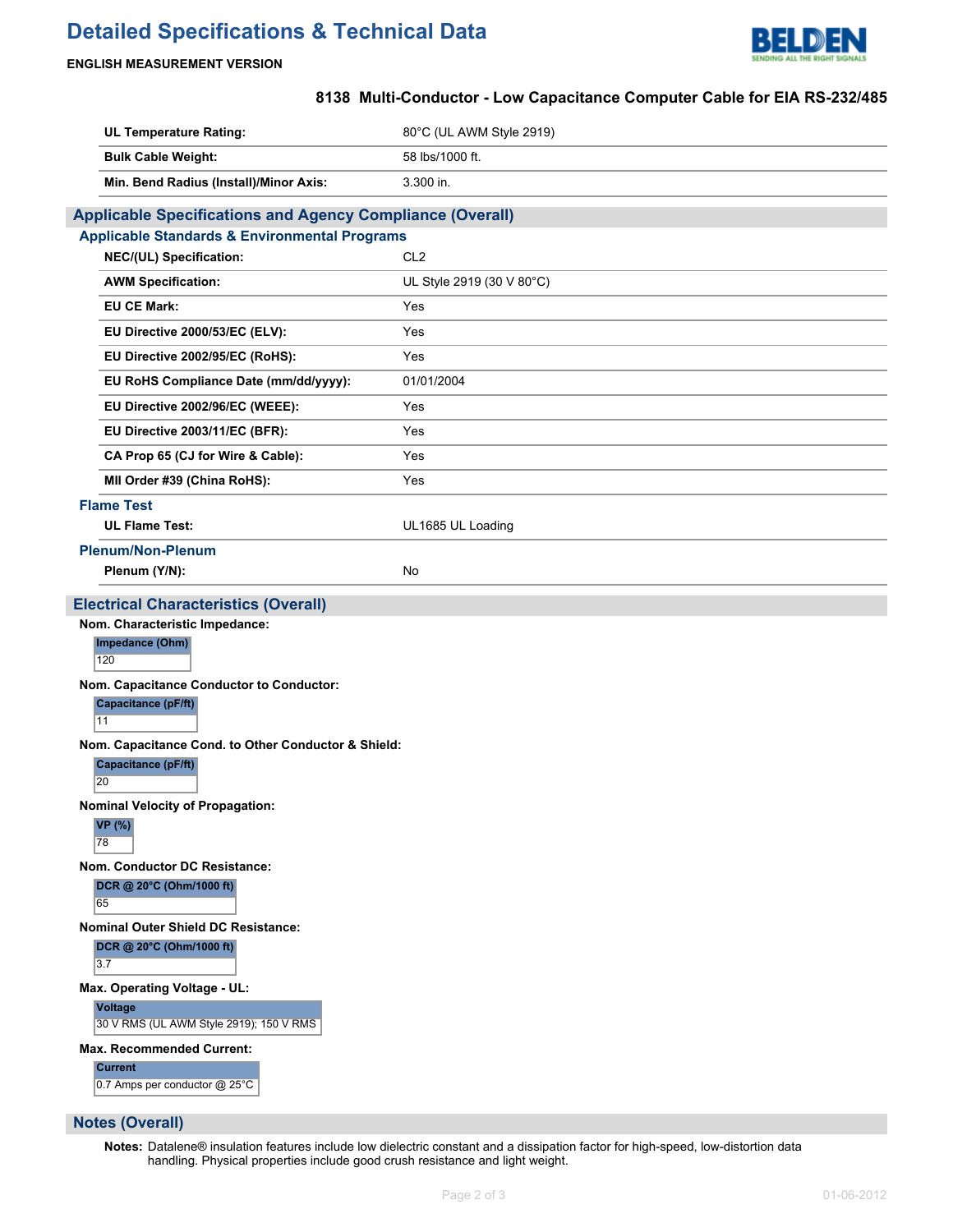# **Detailed Specifications & Technical Data**



### **ENGLISH MEASUREMENT VERSION**

# **8138 Multi-Conductor - Low Capacitance Computer Cable for EIA RS-232/485**

| <b>UL Temperature Rating:</b>                                    | 80°C (UL AWM Style 2919)  |  |  |  |  |
|------------------------------------------------------------------|---------------------------|--|--|--|--|
| <b>Bulk Cable Weight:</b>                                        | 58 lbs/1000 ft.           |  |  |  |  |
| Min. Bend Radius (Install)/Minor Axis:                           | 3.300 in.                 |  |  |  |  |
| <b>Applicable Specifications and Agency Compliance (Overall)</b> |                           |  |  |  |  |
| <b>Applicable Standards &amp; Environmental Programs</b>         |                           |  |  |  |  |
| NEC/(UL) Specification:                                          | CL <sub>2</sub>           |  |  |  |  |
| <b>AWM Specification:</b>                                        | UL Style 2919 (30 V 80°C) |  |  |  |  |
| <b>EU CE Mark:</b>                                               | Yes                       |  |  |  |  |
| EU Directive 2000/53/EC (ELV):                                   | Yes                       |  |  |  |  |
| EU Directive 2002/95/EC (RoHS):                                  | Yes                       |  |  |  |  |
| EU RoHS Compliance Date (mm/dd/yyyy):                            | 01/01/2004                |  |  |  |  |
| EU Directive 2002/96/EC (WEEE):                                  | Yes                       |  |  |  |  |
| EU Directive 2003/11/EC (BFR):                                   | Yes                       |  |  |  |  |
| CA Prop 65 (CJ for Wire & Cable):                                | Yes                       |  |  |  |  |
| MII Order #39 (China RoHS):                                      | Yes                       |  |  |  |  |
| <b>Flame Test</b>                                                |                           |  |  |  |  |
| <b>UL Flame Test:</b>                                            | UL1685 UL Loading         |  |  |  |  |
| <b>Plenum/Non-Plenum</b>                                         |                           |  |  |  |  |
| Plenum (Y/N):                                                    | No                        |  |  |  |  |
| <b>Electrical Characteristics (Overall)</b>                      |                           |  |  |  |  |
| Nom. Characteristic Impedance:                                   |                           |  |  |  |  |
| Impedance (Ohm)<br>120                                           |                           |  |  |  |  |
| Nom. Capacitance Conductor to Conductor:                         |                           |  |  |  |  |
| <b>Capacitance (pF/ft)</b><br>11                                 |                           |  |  |  |  |
| Nom. Capacitance Cond. to Other Conductor & Shield:              |                           |  |  |  |  |
| Capacitance (pF/ft)<br>20                                        |                           |  |  |  |  |
| <b>Nominal Velocity of Propagation:</b>                          |                           |  |  |  |  |
| <b>VP</b> (%)<br>78                                              |                           |  |  |  |  |
| Nom. Conductor DC Resistance:                                    |                           |  |  |  |  |
| DCR @ 20°C (Ohm/1000 ft)<br>65                                   |                           |  |  |  |  |
| <b>Nominal Outer Shield DC Resistance:</b>                       |                           |  |  |  |  |
| DCR @ 20°C (Ohm/1000 ft)<br>3.7                                  |                           |  |  |  |  |
| Max. Operating Voltage - UL:                                     |                           |  |  |  |  |
| <b>Voltage</b><br>30 V RMS (UL AWM Style 2919); 150 V RMS        |                           |  |  |  |  |
| <b>Max. Recommended Current:</b>                                 |                           |  |  |  |  |
| <b>Current</b><br>0.7 Amps per conductor @ 25°C                  |                           |  |  |  |  |

# **Notes (Overall)**

**Notes:** Datalene® insulation features include low dielectric constant and a dissipation factor for high-speed, low-distortion data handling. Physical properties include good crush resistance and light weight.